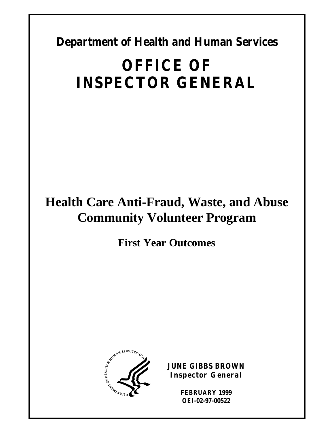**Department of Health and Human Services** 

# **OFFICE OF INSPECTOR GENERAL**

# **Health Care Anti-Fraud, Waste, and Abuse Community Volunteer Program**

**First Year Outcomes** 



**JUNE GIBBS BROWN Inspector General** 

> **FEBRUARY 1999 OEI-02-97-00522**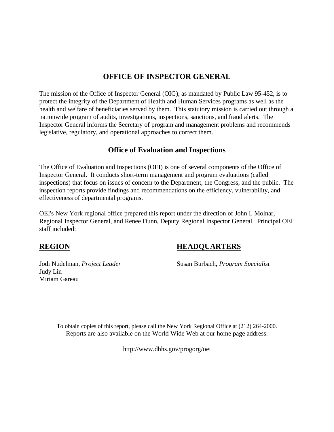#### **OFFICE OF INSPECTOR GENERAL**

The mission of the Office of Inspector General (OIG), as mandated by Public Law 95-452, is to protect the integrity of the Department of Health and Human Services programs as well as the health and welfare of beneficiaries served by them. This statutory mission is carried out through a nationwide program of audits, investigations, inspections, sanctions, and fraud alerts. The Inspector General informs the Secretary of program and management problems and recommends legislative, regulatory, and operational approaches to correct them.

### **Office of Evaluation and Inspections**

The Office of Evaluation and Inspections (OEI) is one of several components of the Office of Inspector General. It conducts short-term management and program evaluations (called inspections) that focus on issues of concern to the Department, the Congress, and the public. The inspection reports provide findings and recommendations on the efficiency, vulnerability, and effectiveness of departmental programs.

OEI's New York regional office prepared this report under the direction of John I. Molnar, Regional Inspector General, and Renee Dunn, Deputy Regional Inspector General. Principal OEI staff included:

### **REGION HEADQUARTERS**

Judy Lin Miriam Gareau

Jodi Nudelman, *Project Leader* Susan Burbach, *Program Specialist* 

To obtain copies of this report, please call the New York Regional Office at (212) 264-2000. Reports are also available on the World Wide Web at our home page address:

http://www.dhhs.gov/progorg/oei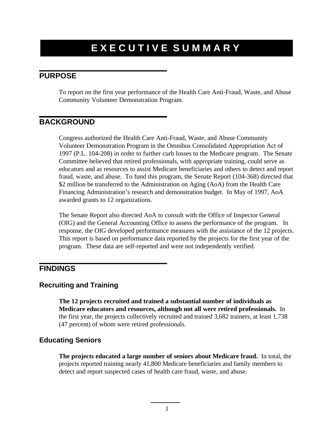### **EXECUTIVE SUMMARY**

#### **PURPOSE**

To report on the first year performance of the Health Care Anti-Fraud, Waste, and Abuse Community Volunteer Demonstration Program.

#### **BACKGROUND**

Congress authorized the Health Care Anti-Fraud, Waste, and Abuse Community Volunteer Demonstration Program in the Omnibus Consolidated Appropriation Act of 1997 (P.L. 104-208) in order to further curb losses to the Medicare program. The Senate Committee believed that retired professionals, with appropriate training, could serve as educators and as resources to assist Medicare beneficiaries and others to detect and report fraud, waste, and abuse. To fund this program, the Senate Report (104-368) directed that \$2 million be transferred to the Administration on Aging (AoA) from the Health Care Financing Administration's research and demonstration budget. In May of 1997, AoA awarded grants to 12 organizations.

The Senate Report also directed AoA to consult with the Office of Inspector General (OIG) and the General Accounting Office to assess the performance of the program. In response, the OIG developed performance measures with the assistance of the 12 projects. This report is based on performance data reported by the projects for the first year of the program. These data are self-reported and were not independently verified.

### **FINDINGS**

#### **Recruiting and Training**

**The 12 projects recruited and trained a substantial number of individuals as Medicare educators and resources, although not all were retired professionals.** In the first year, the projects collectively recruited and trained 3,682 trainers, at least 1,738 (47 percent) of whom were retired professionals.

#### **Educating Seniors**

**The projects educated a large number of seniors about Medicare fraud.** In total, the projects reported training nearly 41,800 Medicare beneficiaries and family members to detect and report suspected cases of health care fraud, waste, and abuse.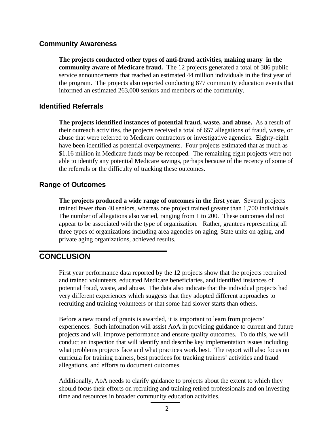#### **Community Awareness**

**The projects conducted other types of anti-fraud activities, making many in the community aware of Medicare fraud.** The 12 projects generated a total of 386 public service announcements that reached an estimated 44 million individuals in the first year of the program. The projects also reported conducting 877 community education events that informed an estimated 263,000 seniors and members of the community.

#### **Identified Referrals**

**The projects identified instances of potential fraud, waste, and abuse.** As a result of their outreach activities, the projects received a total of 657 allegations of fraud, waste, or abuse that were referred to Medicare contractors or investigative agencies. Eighty-eight have been identified as potential overpayments. Four projects estimated that as much as \$1.16 million in Medicare funds may be recouped. The remaining eight projects were not able to identify any potential Medicare savings, perhaps because of the recency of some of the referrals or the difficulty of tracking these outcomes.

#### **Range of Outcomes**

**The projects produced a wide range of outcomes in the first year.** Several projects trained fewer than 40 seniors, whereas one project trained greater than 1,700 individuals. The number of allegations also varied, ranging from 1 to 200. These outcomes did not appear to be associated with the type of organization. Rather, grantees representing all three types of organizations including area agencies on aging, State units on aging, and private aging organizations, achieved results.

#### **CONCLUSION**

First year performance data reported by the 12 projects show that the projects recruited and trained volunteers, educated Medicare beneficiaries, and identified instances of potential fraud, waste, and abuse. The data also indicate that the individual projects had very different experiences which suggests that they adopted different approaches to recruiting and training volunteers or that some had slower starts than others.

Before a new round of grants is awarded, it is important to learn from projects' experiences. Such information will assist AoA in providing guidance to current and future projects and will improve performance and ensure quality outcomes. To do this, we will conduct an inspection that will identify and describe key implementation issues including what problems projects face and what practices work best. The report will also focus on curricula for training trainers, best practices for tracking trainers' activities and fraud allegations, and efforts to document outcomes.

Additionally, AoA needs to clarify guidance to projects about the extent to which they should focus their efforts on recruiting and training retired professionals and on investing time and resources in broader community education activities.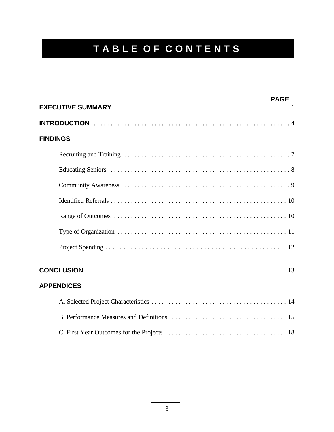# **TABLE OF CONTENTS**

|                   | <b>PAGE</b> |
|-------------------|-------------|
|                   |             |
| <b>FINDINGS</b>   |             |
|                   |             |
|                   |             |
|                   |             |
|                   |             |
|                   |             |
|                   |             |
|                   |             |
| <b>APPENDICES</b> |             |
|                   |             |
|                   |             |
|                   |             |
|                   |             |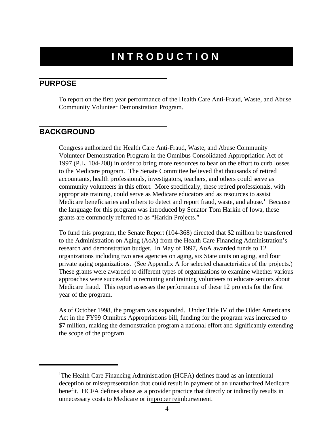### **INTRODUCTION**

#### **PURPOSE**

To report on the first year performance of the Health Care Anti-Fraud, Waste, and Abuse Community Volunteer Demonstration Program.

#### **BACKGROUND**

Congress authorized the Health Care Anti-Fraud, Waste, and Abuse Community Volunteer Demonstration Program in the Omnibus Consolidated Appropriation Act of 1997 (P.L. 104-208) in order to bring more resources to bear on the effort to curb losses to the Medicare program. The Senate Committee believed that thousands of retired accountants, health professionals, investigators, teachers, and others could serve as community volunteers in this effort. More specifically, these retired professionals, with appropriate training, could serve as Medicare educators and as resources to assist Medicare beneficiaries and others to detect and report fraud, waste, and abuse.<sup>1</sup> Because the language for this program was introduced by Senator Tom Harkin of Iowa, these grants are commonly referred to as "Harkin Projects."

To fund this program, the Senate Report (104-368) directed that \$2 million be transferred to the Administration on Aging (AoA) from the Health Care Financing Administration's research and demonstration budget. In May of 1997, AoA awarded funds to 12 organizations including two area agencies on aging, six State units on aging, and four private aging organizations. (See Appendix A for selected characteristics of the projects.) These grants were awarded to different types of organizations to examine whether various approaches were successful in recruiting and training volunteers to educate seniors about Medicare fraud. This report assesses the performance of these 12 projects for the first year of the program.

As of October 1998, the program was expanded. Under Title IV of the Older Americans Act in the FY99 Omnibus Appropriations bill, funding for the program was increased to \$7 million, making the demonstration program a national effort and significantly extending the scope of the program.

<sup>&</sup>lt;sup>1</sup>The Health Care Financing Administration (HCFA) defines fraud as an intentional deception or misrepresentation that could result in payment of an unauthorized Medicare benefit. HCFA defines abuse as a provider practice that directly or indirectly results in unnecessary costs to Medicare or improper reimbursement.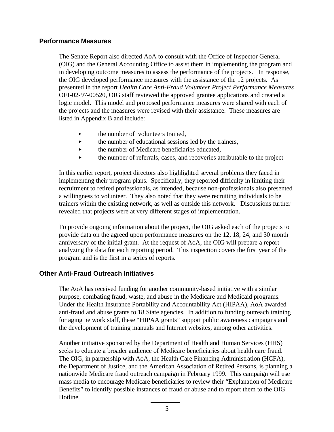#### **Performance Measures**

The Senate Report also directed AoA to consult with the Office of Inspector General (OIG) and the General Accounting Office to assist them in implementing the program and in developing outcome measures to assess the performance of the projects. In response, the OIG developed performance measures with the assistance of the 12 projects. As presented in the report *Health Care Anti-Fraud Volunteer Project Performance Measures*  OEI-02-97-00520, OIG staff reviewed the approved grantee applications and created a logic model. This model and proposed performance measures were shared with each of the projects and the measures were revised with their assistance. These measures are listed in Appendix B and include:

- the number of volunteers trained,
- $\blacktriangleright$ the number of educational sessions led by the trainers,
- $\blacktriangleright$ the number of Medicare beneficiaries educated,
- $\blacktriangleright$ the number of referrals, cases, and recoveries attributable to the project

In this earlier report, project directors also highlighted several problems they faced in implementing their program plans. Specifically, they reported difficulty in limiting their recruitment to retired professionals, as intended, because non-professionals also presented a willingness to volunteer. They also noted that they were recruiting individuals to be trainers within the existing network, as well as outside this network. Discussions further revealed that projects were at very different stages of implementation.

To provide ongoing information about the project, the OIG asked each of the projects to provide data on the agreed upon performance measures on the 12, 18, 24, and 30 month anniversary of the initial grant. At the request of AoA, the OIG will prepare a report analyzing the data for each reporting period. This inspection covers the first year of the program and is the first in a series of reports.

#### **Other Anti-Fraud Outreach Initiatives**

The AoA has received funding for another community-based initiative with a similar purpose, combating fraud, waste, and abuse in the Medicare and Medicaid programs. Under the Health Insurance Portability and Accountability Act (HIPAA), AoA awarded anti-fraud and abuse grants to 18 State agencies. In addition to funding outreach training for aging network staff, these "HIPAA grants" support public awareness campaigns and the development of training manuals and Internet websites, among other activities.

Another initiative sponsored by the Department of Health and Human Services (HHS) seeks to educate a broader audience of Medicare beneficiaries about health care fraud. The OIG, in partnership with AoA, the Health Care Financing Administration (HCFA), the Department of Justice, and the American Association of Retired Persons, is planning a nationwide Medicare fraud outreach campaign in February 1999. This campaign will use mass media to encourage Medicare beneficiaries to review their "Explanation of Medicare Benefits" to identify possible instances of fraud or abuse and to report them to the OIG Hotline.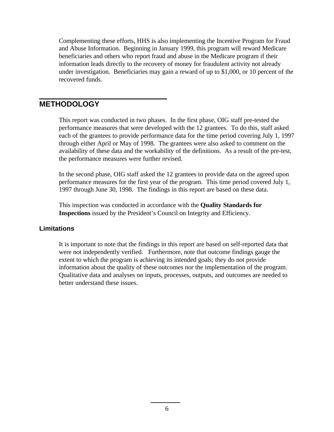Complementing these efforts, HHS is also implementing the Incentive Program for Fraud and Abuse Information. Beginning in January 1999, this program will reward Medicare beneficiaries and others who report fraud and abuse in the Medicare program if their information leads directly to the recovery of money for fraudulent activity not already under investigation. Beneficiaries may gain a reward of up to \$1,000, or 10 percent of the recovered funds.

#### **METHODOLOGY**

This report was conducted in two phases. In the first phase, OIG staff pre-tested the performance measures that were developed with the 12 grantees. To do this, staff asked each of the grantees to provide performance data for the time period covering July 1, 1997 through either April or May of 1998. The grantees were also asked to comment on the availability of these data and the workability of the definitions. As a result of the pre-test, the performance measures were further revised.

In the second phase, OIG staff asked the 12 grantees to provide data on the agreed upon performance measures for the first year of the program. This time period covered July 1, 1997 through June 30, 1998. The findings in this report are based on these data.

This inspection was conducted in accordance with the **Quality Standards for Inspections** issued by the President's Council on Integrity and Efficiency.

#### **Limitations**

It is important to note that the findings in this report are based on self-reported data that were not independently verified. Furthermore, note that outcome findings gauge the extent to which the program is achieving its intended goals; they do not provide information about the quality of these outcomes nor the implementation of the program. Qualitative data and analyses on inputs, processes, outputs, and outcomes are needed to better understand these issues.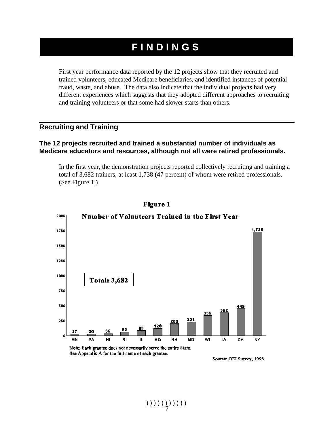### **FINDINGS**

First year performance data reported by the 12 projects show that they recruited and trained volunteers, educated Medicare beneficiaries, and identified instances of potential fraud, waste, and abuse. The data also indicate that the individual projects had very different experiences which suggests that they adopted different approaches to recruiting and training volunteers or that some had slower starts than others.

#### **Recruiting and Training**

#### **The 12 projects recruited and trained a substantial number of individuals as Medicare educators and resources, although not all were retired professionals.**

In the first year, the demonstration projects reported collectively recruiting and training a total of 3,682 trainers, at least 1,738 (47 percent) of whom were retired professionals. (See Figure 1.)



**Figure 1** 

Source: OEI Survey, 1998.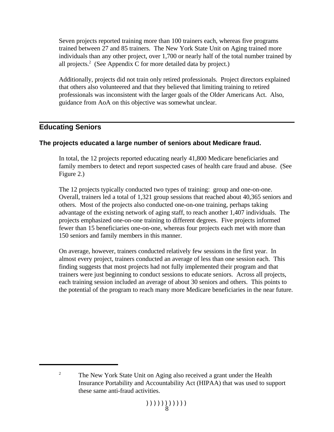Seven projects reported training more than 100 trainers each, whereas five programs trained between 27 and 85 trainers. The New York State Unit on Aging trained more individuals than any other project, over 1,700 or nearly half of the total number trained by all projects.<sup>2</sup> (See Appendix C for more detailed data by project.)

Additionally, projects did not train only retired professionals. Project directors explained that others also volunteered and that they believed that limiting training to retired professionals was inconsistent with the larger goals of the Older Americans Act. Also, guidance from AoA on this objective was somewhat unclear.

#### **Educating Seniors**

#### **The projects educated a large number of seniors about Medicare fraud.**

In total, the 12 projects reported educating nearly 41,800 Medicare beneficiaries and family members to detect and report suspected cases of health care fraud and abuse. (See Figure 2.)

The 12 projects typically conducted two types of training: group and one-on-one. Overall, trainers led a total of 1,321 group sessions that reached about 40,365 seniors and others. Most of the projects also conducted one-on-one training, perhaps taking advantage of the existing network of aging staff, to reach another 1,407 individuals. The projects emphasized one-on-one training to different degrees. Five projects informed fewer than 15 beneficiaries one-on-one, whereas four projects each met with more than 150 seniors and family members in this manner.

On average, however, trainers conducted relatively few sessions in the first year. In almost every project, trainers conducted an average of less than one session each. This finding suggests that most projects had not fully implemented their program and that trainers were just beginning to conduct sessions to educate seniors. Across all projects, each training session included an average of about 30 seniors and others. This points to the potential of the program to reach many more Medicare beneficiaries in the near future.

<sup>&</sup>lt;sup>2</sup> The New York State Unit on Aging also received a grant under the Health Insurance Portability and Accountability Act (HIPAA) that was used to support these same anti-fraud activities.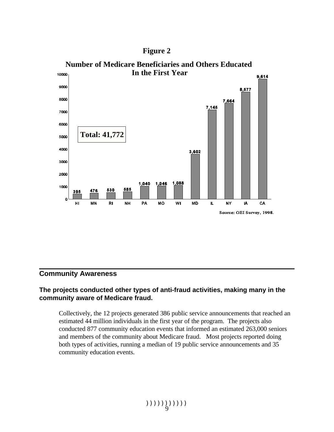



#### **Community Awareness**

#### **The projects conducted other types of anti-fraud activities, making many in the community aware of Medicare fraud.**

Collectively, the 12 projects generated 386 public service announcements that reached an estimated 44 million individuals in the first year of the program. The projects also conducted 877 community education events that informed an estimated 263,000 seniors and members of the community about Medicare fraud. Most projects reported doing both types of activities, running a median of 19 public service announcements and 35 community education events.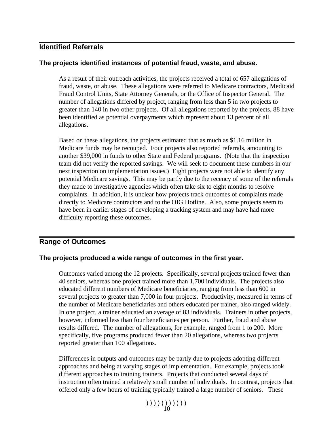#### **Identified Referrals**

#### **The projects identified instances of potential fraud, waste, and abuse.**

As a result of their outreach activities, the projects received a total of 657 allegations of fraud, waste, or abuse. These allegations were referred to Medicare contractors, Medicaid Fraud Control Units, State Attorney Generals, or the Office of Inspector General. The number of allegations differed by project, ranging from less than 5 in two projects to greater than 140 in two other projects. Of all allegations reported by the projects, 88 have been identified as potential overpayments which represent about 13 percent of all allegations.

Based on these allegations, the projects estimated that as much as \$1.16 million in Medicare funds may be recouped. Four projects also reported referrals, amounting to another \$39,000 in funds to other State and Federal programs. (Note that the inspection team did not verify the reported savings. We will seek to document these numbers in our next inspection on implementation issues.) Eight projects were not able to identify any potential Medicare savings. This may be partly due to the recency of some of the referrals they made to investigative agencies which often take six to eight months to resolve complaints. In addition, it is unclear how projects track outcomes of complaints made directly to Medicare contractors and to the OIG Hotline. Also, some projects seem to have been in earlier stages of developing a tracking system and may have had more difficulty reporting these outcomes.

#### **Range of Outcomes**

#### **The projects produced a wide range of outcomes in the first year.**

Outcomes varied among the 12 projects. Specifically, several projects trained fewer than 40 seniors, whereas one project trained more than 1,700 individuals. The projects also educated different numbers of Medicare beneficiaries, ranging from less than 600 in several projects to greater than 7,000 in four projects. Productivity, measured in terms of the number of Medicare beneficiaries and others educated per trainer, also ranged widely. In one project, a trainer educated an average of 83 individuals. Trainers in other projects, however, informed less than four beneficiaries per person. Further, fraud and abuse results differed. The number of allegations, for example, ranged from 1 to 200. More specifically, five programs produced fewer than 20 allegations, whereas two projects reported greater than 100 allegations.

Differences in outputs and outcomes may be partly due to projects adopting different approaches and being at varying stages of implementation. For example, projects took different approaches to training trainers. Projects that conducted several days of instruction often trained a relatively small number of individuals. In contrast, projects that offered only a few hours of training typically trained a large number of seniors. These

 $(1)$ ))))))))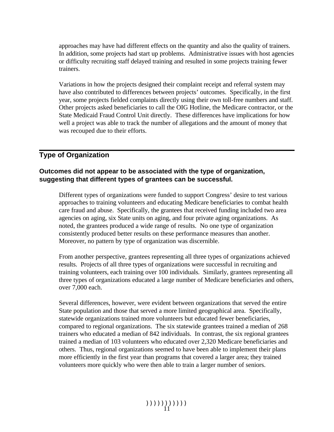approaches may have had different effects on the quantity and also the quality of trainers. In addition, some projects had start up problems. Administrative issues with host agencies or difficulty recruiting staff delayed training and resulted in some projects training fewer trainers.

Variations in how the projects designed their complaint receipt and referral system may have also contributed to differences between projects' outcomes. Specifically, in the first year, some projects fielded complaints directly using their own toll-free numbers and staff. Other projects asked beneficiaries to call the OIG Hotline, the Medicare contractor, or the State Medicaid Fraud Control Unit directly. These differences have implications for how well a project was able to track the number of allegations and the amount of money that was recouped due to their efforts.

#### **Type of Organization**

#### **Outcomes did not appear to be associated with the type of organization, suggesting that different types of grantees can be successful.**

Different types of organizations were funded to support Congress' desire to test various approaches to training volunteers and educating Medicare beneficiaries to combat health care fraud and abuse. Specifically, the grantees that received funding included two area agencies on aging, six State units on aging, and four private aging organizations. As noted, the grantees produced a wide range of results. No one type of organization consistently produced better results on these performance measures than another. Moreover, no pattern by type of organization was discernible.

From another perspective, grantees representing all three types of organizations achieved results. Projects of all three types of organizations were successful in recruiting and training volunteers, each training over 100 individuals. Similarly, grantees representing all three types of organizations educated a large number of Medicare beneficiaries and others, over 7,000 each.

Several differences, however, were evident between organizations that served the entire State population and those that served a more limited geographical area. Specifically, statewide organizations trained more volunteers but educated fewer beneficiaries, compared to regional organizations. The six statewide grantees trained a median of 268 trainers who educated a median of 842 individuals. In contrast, the six regional grantees trained a median of 103 volunteers who educated over 2,320 Medicare beneficiaries and others. Thus, regional organizations seemed to have been able to implement their plans more efficiently in the first year than programs that covered a larger area; they trained volunteers more quickly who were then able to train a larger number of seniors.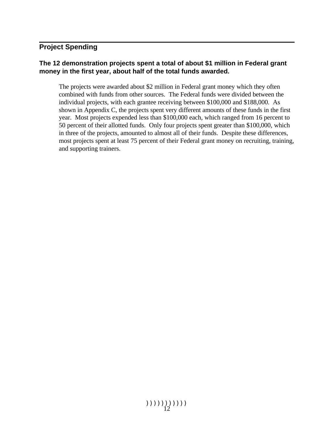### **Project Spending**

#### **The 12 demonstration projects spent a total of about \$1 million in Federal grant money in the first year, about half of the total funds awarded.**

The projects were awarded about \$2 million in Federal grant money which they often combined with funds from other sources. The Federal funds were divided between the individual projects, with each grantee receiving between \$100,000 and \$188,000. As shown in Appendix C, the projects spent very different amounts of these funds in the first year. Most projects expended less than \$100,000 each, which ranged from 16 percent to 50 percent of their allotted funds. Only four projects spent greater than \$100,000, which in three of the projects, amounted to almost all of their funds. Despite these differences, most projects spent at least 75 percent of their Federal grant money on recruiting, training, and supporting trainers.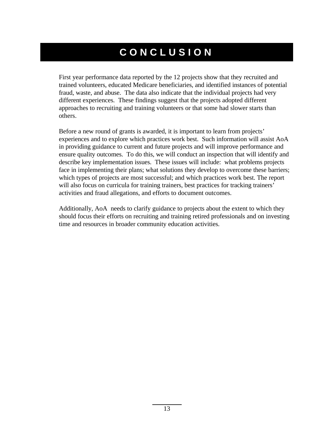## **CONCLUSION**

First year performance data reported by the 12 projects show that they recruited and trained volunteers, educated Medicare beneficiaries, and identified instances of potential fraud, waste, and abuse. The data also indicate that the individual projects had very different experiences. These findings suggest that the projects adopted different approaches to recruiting and training volunteers or that some had slower starts than others.

Before a new round of grants is awarded, it is important to learn from projects' experiences and to explore which practices work best. Such information will assist AoA in providing guidance to current and future projects and will improve performance and ensure quality outcomes. To do this, we will conduct an inspection that will identify and describe key implementation issues. These issues will include: what problems projects face in implementing their plans; what solutions they develop to overcome these barriers; which types of projects are most successful; and which practices work best. The report will also focus on curricula for training trainers, best practices for tracking trainers' activities and fraud allegations, and efforts to document outcomes.

Additionally, AoA needs to clarify guidance to projects about the extent to which they should focus their efforts on recruiting and training retired professionals and on investing time and resources in broader community education activities.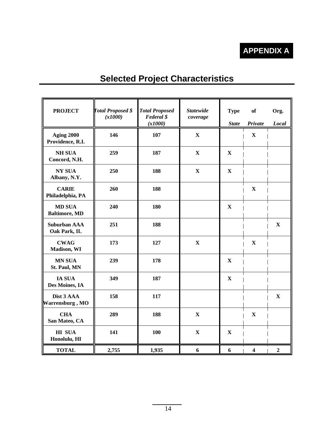### **APPENDIX A**

| <b>PROJECT</b>                        | <b>Total Proposed \$</b><br>(x1000) | <b>Total Proposed</b><br><b>Federal</b> \$<br>(x1000) | <b>Statewide</b><br>coverage | <b>Type</b><br><b>State</b> | of<br>Private | Org.<br>Local |
|---------------------------------------|-------------------------------------|-------------------------------------------------------|------------------------------|-----------------------------|---------------|---------------|
| <b>Aging 2000</b><br>Providence, R.I. | 146                                 | 107                                                   | $\mathbf X$                  |                             | $\mathbf X$   |               |
| <b>NH SUA</b><br>Concord, N.H.        | 259                                 | 187                                                   | $\mathbf X$                  | $\mathbf X$                 |               |               |
| <b>NY SUA</b><br>Albany, N.Y.         | 250                                 | 188                                                   | $\mathbf X$                  | $\mathbf X$                 |               |               |
| <b>CARIE</b><br>Philadelphia, PA      | 260                                 | 188                                                   |                              |                             | $\mathbf X$   |               |
| <b>MD SUA</b><br><b>Baltimore, MD</b> | 240                                 | 180                                                   |                              | $\mathbf X$                 |               |               |
| <b>Suburban AAA</b><br>Oak Park, IL   | 251                                 | 188                                                   |                              |                             |               | $\mathbf X$   |
| <b>CWAG</b><br>Madison, WI            | 173                                 | 127                                                   | $\mathbf X$                  |                             | $\mathbf X$   |               |
| <b>MN SUA</b><br>St. Paul, MN         | 239                                 | 178                                                   |                              | $\mathbf X$                 |               |               |
| <b>IA SUA</b><br>Des Moines, IA       | 349                                 | 187                                                   |                              | $\mathbf X$                 |               |               |
| Dist 3 AAA<br>Warrensburg, MO         | 158                                 | 117                                                   |                              |                             |               | $\mathbf X$   |
| <b>CHA</b><br>San Mateo, CA           | 289                                 | 188                                                   | $\mathbf X$                  |                             | $\mathbf X$   |               |
| <b>HI SUA</b><br>Honolulu, HI         | 141                                 | 100                                                   | $\mathbf X$                  | $\mathbf X$                 |               |               |
| <b>TOTAL</b>                          | 2,755                               | 1,935                                                 | 6                            | 6                           | 4             | $\mathbf{2}$  |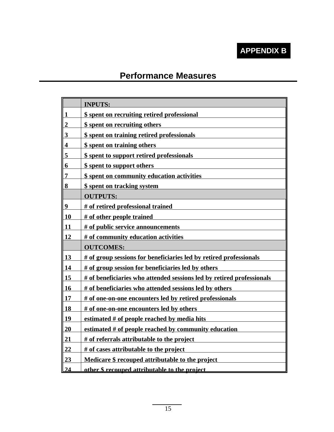### **APPENDIX B**

### **Performance Measures**

|                         | <b>INPUTS:</b>                                                        |
|-------------------------|-----------------------------------------------------------------------|
| $\mathbf{1}$            | \$ spent on recruiting retired professional                           |
| $\overline{2}$          | \$ spent on recruiting others                                         |
| $\overline{\mathbf{3}}$ | \$ spent on training retired professionals                            |
| $\overline{\mathbf{4}}$ | \$ spent on training others                                           |
| 5                       | \$ spent to support retired professionals                             |
| $\overline{\mathbf{6}}$ | \$ spent to support others                                            |
| $\overline{7}$          | \$ spent on community education activities                            |
| 8                       | \$ spent on tracking system                                           |
|                         | <b>OUTPUTS:</b>                                                       |
| 9                       | # of retired professional trained                                     |
| 10                      | # of other people trained                                             |
| 11                      | # of public service announcements                                     |
| 12                      | # of community education activities                                   |
|                         | <b>OUTCOMES:</b>                                                      |
| 13                      | # of group sessions for beneficiaries led by retired professionals    |
| 14                      | # of group session for beneficiaries led by others                    |
| 15                      | # of beneficiaries who attended sessions led by retired professionals |
| 16                      | # of beneficiaries who attended sessions led by others                |
| 17                      | # of one-on-one encounters led by retired professionals               |
| <b>18</b>               | # of one-on-one encounters led by others                              |
| <u>19</u>               | estimated # of people reached by media hits                           |
| 20                      | estimated $#$ of people reached by community education                |
| 21                      | # of referrals attributable to the project                            |
| $\overline{22}$         | # of cases attributable to the project                                |
| 23                      | Medicare \$ recouped attributable to the project                      |
|                         | other \$ recouned attributable to the project                         |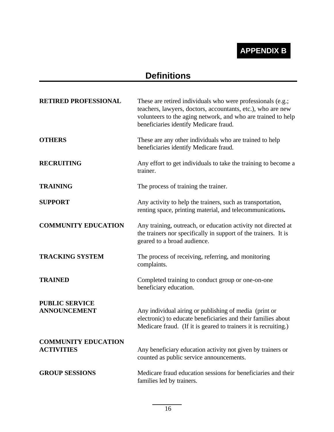### **APPENDIX B**

### **Definitions**

| <b>RETIRED PROFESSIONAL</b>                     | These are retired individuals who were professionals (e.g.;<br>teachers, lawyers, doctors, accountants, etc.), who are new<br>volunteers to the aging network, and who are trained to help<br>beneficiaries identify Medicare fraud. |
|-------------------------------------------------|--------------------------------------------------------------------------------------------------------------------------------------------------------------------------------------------------------------------------------------|
| <b>OTHERS</b>                                   | These are any other individuals who are trained to help<br>beneficiaries identify Medicare fraud.                                                                                                                                    |
| <b>RECRUITING</b>                               | Any effort to get individuals to take the training to become a<br>trainer.                                                                                                                                                           |
| <b>TRAINING</b>                                 | The process of training the trainer.                                                                                                                                                                                                 |
| <b>SUPPORT</b>                                  | Any activity to help the trainers, such as transportation,<br>renting space, printing material, and telecommunications.                                                                                                              |
| <b>COMMUNITY EDUCATION</b>                      | Any training, outreach, or education activity not directed at<br>the trainers nor specifically in support of the trainers. It is<br>geared to a broad audience.                                                                      |
| <b>TRACKING SYSTEM</b>                          | The process of receiving, referring, and monitoring<br>complaints.                                                                                                                                                                   |
| <b>TRAINED</b>                                  | Completed training to conduct group or one-on-one<br>beneficiary education.                                                                                                                                                          |
| <b>PUBLIC SERVICE</b><br><b>ANNOUNCEMENT</b>    | Any individual airing or publishing of media (print or<br>electronic) to educate beneficiaries and their families about<br>Medicare fraud. (If it is geared to trainers it is recruiting.)                                           |
| <b>COMMUNITY EDUCATION</b><br><b>ACTIVITIES</b> | Any beneficiary education activity not given by trainers or<br>counted as public service announcements.                                                                                                                              |
| <b>GROUP SESSIONS</b>                           | Medicare fraud education sessions for beneficiaries and their<br>families led by trainers.                                                                                                                                           |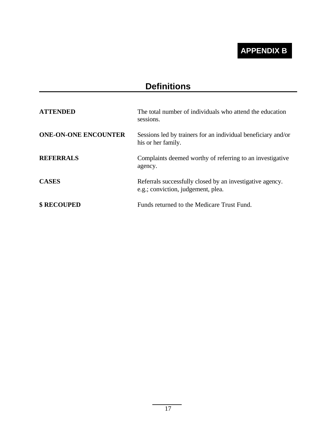### **APPENDIX B**

### **Definitions**

| <b>ATTENDED</b>             | The total number of individuals who attend the education<br>sessions.                           |
|-----------------------------|-------------------------------------------------------------------------------------------------|
| <b>ONE-ON-ONE ENCOUNTER</b> | Sessions led by trainers for an individual beneficiary and/or<br>his or her family.             |
| <b>REFERRALS</b>            | Complaints deemed worthy of referring to an investigative<br>agency.                            |
| <b>CASES</b>                | Referrals successfully closed by an investigative agency.<br>e.g.; conviction, judgement, plea. |
| <b>\$ RECOUPED</b>          | Funds returned to the Medicare Trust Fund.                                                      |